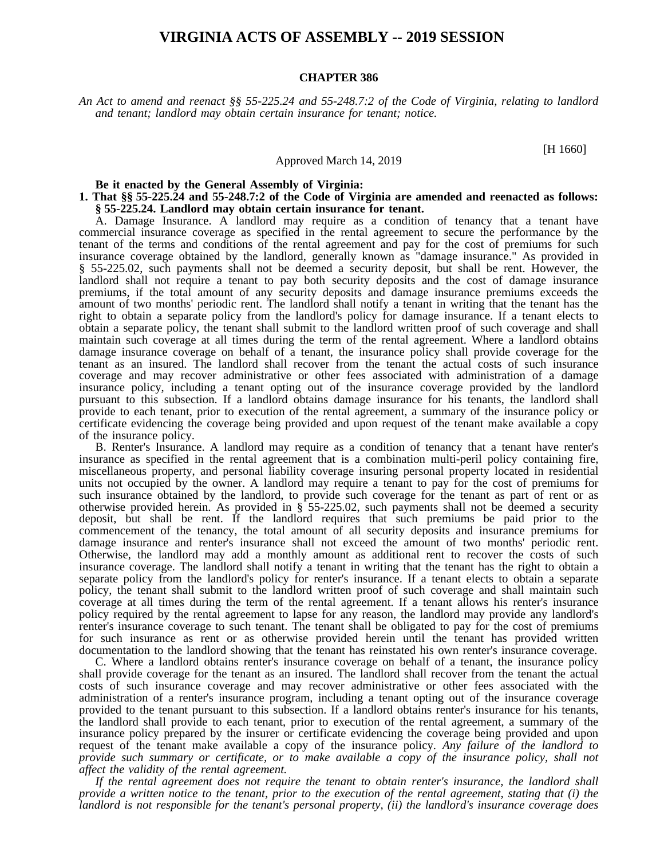# **VIRGINIA ACTS OF ASSEMBLY -- 2019 SESSION**

#### **CHAPTER 386**

An Act to amend and reenact §§ 55-225.24 and 55-248.7:2 of the Code of Virginia, relating to landlord *and tenant; landlord may obtain certain insurance for tenant; notice.*

[H 1660]

#### Approved March 14, 2019

**Be it enacted by the General Assembly of Virginia:**

### **1. That §§ 55-225.24 and 55-248.7:2 of the Code of Virginia are amended and reenacted as follows: § 55-225.24. Landlord may obtain certain insurance for tenant.**

A. Damage Insurance. A landlord may require as a condition of tenancy that a tenant have commercial insurance coverage as specified in the rental agreement to secure the performance by the tenant of the terms and conditions of the rental agreement and pay for the cost of premiums for such insurance coverage obtained by the landlord, generally known as "damage insurance." As provided in § 55-225.02, such payments shall not be deemed a security deposit, but shall be rent. However, the landlord shall not require a tenant to pay both security deposits and the cost of damage insurance premiums, if the total amount of any security deposits and damage insurance premiums exceeds the amount of two months' periodic rent. The landlord shall notify a tenant in writing that the tenant has the right to obtain a separate policy from the landlord's policy for damage insurance. If a tenant elects to obtain a separate policy, the tenant shall submit to the landlord written proof of such coverage and shall maintain such coverage at all times during the term of the rental agreement. Where a landlord obtains damage insurance coverage on behalf of a tenant, the insurance policy shall provide coverage for the tenant as an insured. The landlord shall recover from the tenant the actual costs of such insurance coverage and may recover administrative or other fees associated with administration of a damage insurance policy, including a tenant opting out of the insurance coverage provided by the landlord pursuant to this subsection. If a landlord obtains damage insurance for his tenants, the landlord shall provide to each tenant, prior to execution of the rental agreement, a summary of the insurance policy or certificate evidencing the coverage being provided and upon request of the tenant make available a copy of the insurance policy.

B. Renter's Insurance. A landlord may require as a condition of tenancy that a tenant have renter's insurance as specified in the rental agreement that is a combination multi-peril policy containing fire, miscellaneous property, and personal liability coverage insuring personal property located in residential units not occupied by the owner. A landlord may require a tenant to pay for the cost of premiums for such insurance obtained by the landlord, to provide such coverage for the tenant as part of rent or as otherwise provided herein. As provided in § 55-225.02, such payments shall not be deemed a security deposit, but shall be rent. If the landlord requires that such premiums be paid prior to the commencement of the tenancy, the total amount of all security deposits and insurance premiums for damage insurance and renter's insurance shall not exceed the amount of two months' periodic rent. Otherwise, the landlord may add a monthly amount as additional rent to recover the costs of such insurance coverage. The landlord shall notify a tenant in writing that the tenant has the right to obtain a separate policy from the landlord's policy for renter's insurance. If a tenant elects to obtain a separate policy, the tenant shall submit to the landlord written proof of such coverage and shall maintain such coverage at all times during the term of the rental agreement. If a tenant allows his renter's insurance policy required by the rental agreement to lapse for any reason, the landlord may provide any landlord's renter's insurance coverage to such tenant. The tenant shall be obligated to pay for the cost of premiums for such insurance as rent or as otherwise provided herein until the tenant has provided written documentation to the landlord showing that the tenant has reinstated his own renter's insurance coverage.

C. Where a landlord obtains renter's insurance coverage on behalf of a tenant, the insurance policy shall provide coverage for the tenant as an insured. The landlord shall recover from the tenant the actual costs of such insurance coverage and may recover administrative or other fees associated with the administration of a renter's insurance program, including a tenant opting out of the insurance coverage provided to the tenant pursuant to this subsection. If a landlord obtains renter's insurance for his tenants, the landlord shall provide to each tenant, prior to execution of the rental agreement, a summary of the insurance policy prepared by the insurer or certificate evidencing the coverage being provided and upon request of the tenant make available a copy of the insurance policy. *Any failure of the landlord to provide such summary or certificate, or to make available a copy of the insurance policy, shall not affect the validity of the rental agreement.*

*If the rental agreement does not require the tenant to obtain renter's insurance, the landlord shall* provide a written notice to the tenant, prior to the execution of the rental agreement, stating that (i) the *landlord is not responsible for the tenant's personal property, (ii) the landlord's insurance coverage does*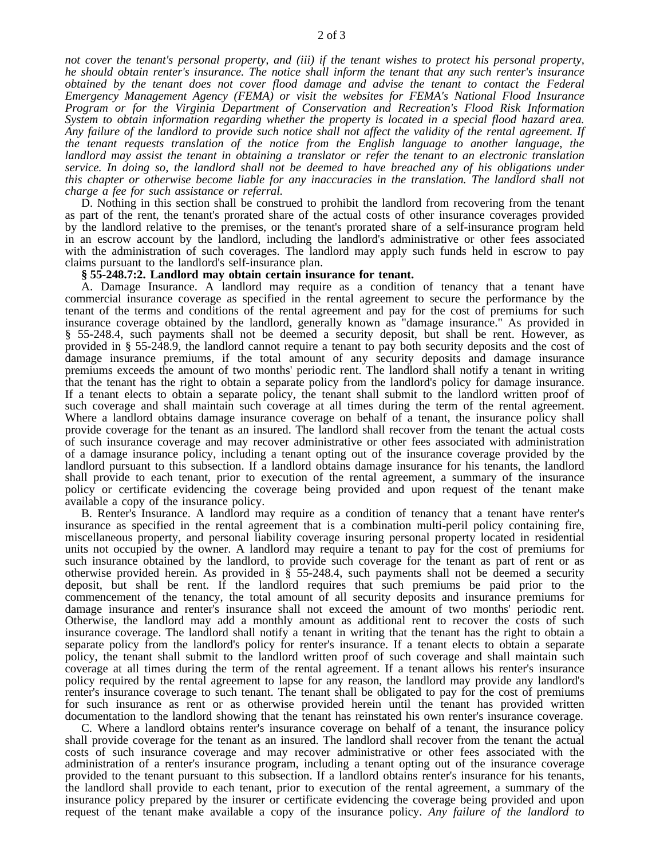not cover the tenant's personal property, and (iii) if the tenant wishes to protect his personal property, *he should obtain renter's insurance. The notice shall inform the tenant that any such renter's insurance obtained by the tenant does not cover flood damage and advise the tenant to contact the Federal Emergency Management Agency (FEMA) or visit the websites for FEMA's National Flood Insurance Program or for the Virginia Department of Conservation and Recreation's Flood Risk Information System to obtain information regarding whether the property is located in a special flood hazard area.* Any failure of the landlord to provide such notice shall not affect the validity of the rental agreement. If *the tenant requests translation of the notice from the English language to another language, the landlord may assist the tenant in obtaining a translator or refer the tenant to an electronic translation* service. In doing so, the landlord shall not be deemed to have breached any of his obligations under *this chapter or otherwise become liable for any inaccuracies in the translation. The landlord shall not charge a fee for such assistance or referral.*

D. Nothing in this section shall be construed to prohibit the landlord from recovering from the tenant as part of the rent, the tenant's prorated share of the actual costs of other insurance coverages provided by the landlord relative to the premises, or the tenant's prorated share of a self-insurance program held in an escrow account by the landlord, including the landlord's administrative or other fees associated with the administration of such coverages. The landlord may apply such funds held in escrow to pay claims pursuant to the landlord's self-insurance plan.

## **§ 55-248.7:2. Landlord may obtain certain insurance for tenant.**

A. Damage Insurance. A landlord may require as a condition of tenancy that a tenant have commercial insurance coverage as specified in the rental agreement to secure the performance by the tenant of the terms and conditions of the rental agreement and pay for the cost of premiums for such insurance coverage obtained by the landlord, generally known as "damage insurance." As provided in § 55-248.4, such payments shall not be deemed a security deposit, but shall be rent. However, as provided in § 55-248.9, the landlord cannot require a tenant to pay both security deposits and the cost of damage insurance premiums, if the total amount of any security deposits and damage insurance premiums exceeds the amount of two months' periodic rent. The landlord shall notify a tenant in writing that the tenant has the right to obtain a separate policy from the landlord's policy for damage insurance. If a tenant elects to obtain a separate policy, the tenant shall submit to the landlord written proof of such coverage and shall maintain such coverage at all times during the term of the rental agreement. Where a landlord obtains damage insurance coverage on behalf of a tenant, the insurance policy shall provide coverage for the tenant as an insured. The landlord shall recover from the tenant the actual costs of such insurance coverage and may recover administrative or other fees associated with administration of a damage insurance policy, including a tenant opting out of the insurance coverage provided by the landlord pursuant to this subsection. If a landlord obtains damage insurance for his tenants, the landlord shall provide to each tenant, prior to execution of the rental agreement, a summary of the insurance policy or certificate evidencing the coverage being provided and upon request of the tenant make available a copy of the insurance policy.

B. Renter's Insurance. A landlord may require as a condition of tenancy that a tenant have renter's insurance as specified in the rental agreement that is a combination multi-peril policy containing fire, miscellaneous property, and personal liability coverage insuring personal property located in residential units not occupied by the owner. A landlord may require a tenant to pay for the cost of premiums for such insurance obtained by the landlord, to provide such coverage for the tenant as part of rent or as otherwise provided herein. As provided in § 55-248.4, such payments shall not be deemed a security deposit, but shall be rent. If the landlord requires that such premiums be paid prior to the commencement of the tenancy, the total amount of all security deposits and insurance premiums for damage insurance and renter's insurance shall not exceed the amount of two months' periodic rent. Otherwise, the landlord may add a monthly amount as additional rent to recover the costs of such insurance coverage. The landlord shall notify a tenant in writing that the tenant has the right to obtain a separate policy from the landlord's policy for renter's insurance. If a tenant elects to obtain a separate policy, the tenant shall submit to the landlord written proof of such coverage and shall maintain such coverage at all times during the term of the rental agreement. If a tenant allows his renter's insurance policy required by the rental agreement to lapse for any reason, the landlord may provide any landlord's renter's insurance coverage to such tenant. The tenant shall be obligated to pay for the cost of premiums for such insurance as rent or as otherwise provided herein until the tenant has provided written documentation to the landlord showing that the tenant has reinstated his own renter's insurance coverage.

C. Where a landlord obtains renter's insurance coverage on behalf of a tenant, the insurance policy shall provide coverage for the tenant as an insured. The landlord shall recover from the tenant the actual costs of such insurance coverage and may recover administrative or other fees associated with the administration of a renter's insurance program, including a tenant opting out of the insurance coverage provided to the tenant pursuant to this subsection. If a landlord obtains renter's insurance for his tenants, the landlord shall provide to each tenant, prior to execution of the rental agreement, a summary of the insurance policy prepared by the insurer or certificate evidencing the coverage being provided and upon request of the tenant make available a copy of the insurance policy. *Any failure of the landlord to*